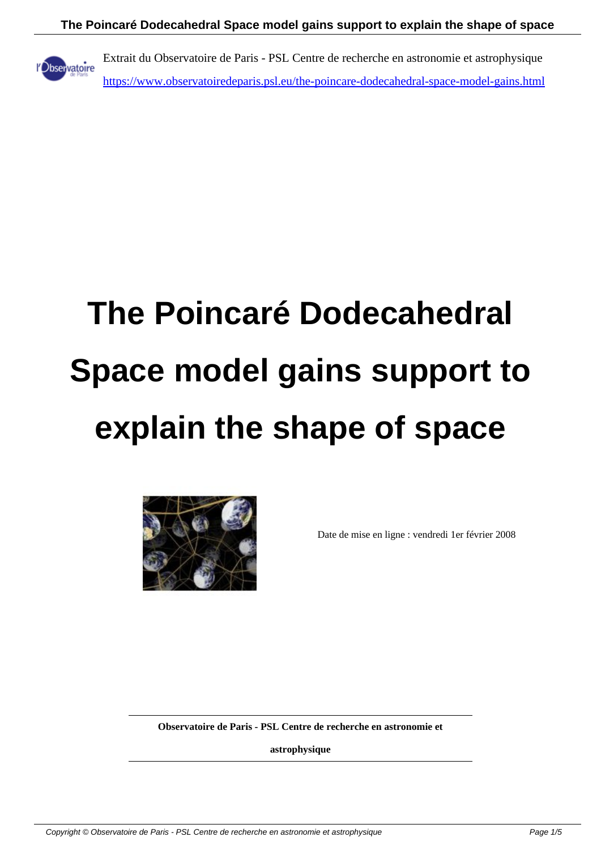

Extrait du Observatoire de Paris - PSL Centre de recherche en astronomie et astrophysique https://www.observatoiredeparis.psl.eu/the-poincare-dodecahedral-space-model-gains.html

# **The Poincaré Dodecahedral Space model gains support to explain the shape of space**



Date de mise en ligne : vendredi 1er février 2008

**Observatoire de Paris - PSL Centre de recherche en astronomie et**

**astrophysique**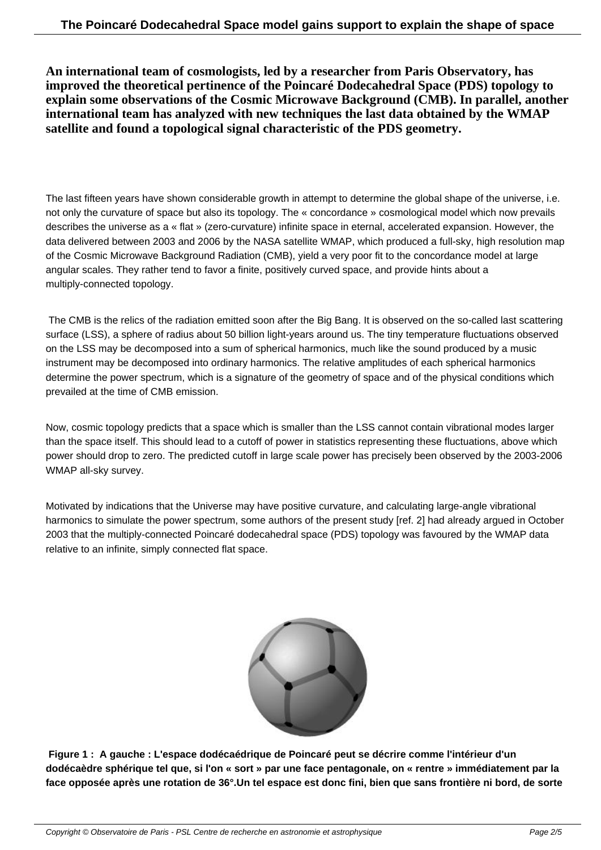**An international team of cosmologists, led by a researcher from Paris Observatory, has improved the theoretical pertinence of the Poincaré Dodecahedral Space (PDS) topology to explain some observations of the Cosmic Microwave Background (CMB). In parallel, another international team has analyzed with new techniques the last data obtained by the WMAP satellite and found a topological signal characteristic of the PDS geometry.**

The last fifteen years have shown considerable growth in attempt to determine the global shape of the universe, i.e. not only the curvature of space but also its topology. The « concordance » cosmological model which now prevails describes the universe as a « flat » (zero-curvature) infinite space in eternal, accelerated expansion. However, the data delivered between 2003 and 2006 by the NASA satellite WMAP, which produced a full-sky, high resolution map of the Cosmic Microwave Background Radiation (CMB), yield a very poor fit to the concordance model at large angular scales. They rather tend to favor a finite, positively curved space, and provide hints about a multiply-connected topology.

 The CMB is the relics of the radiation emitted soon after the Big Bang. It is observed on the so-called last scattering surface (LSS), a sphere of radius about 50 billion light-years around us. The tiny temperature fluctuations observed on the LSS may be decomposed into a sum of spherical harmonics, much like the sound produced by a music instrument may be decomposed into ordinary harmonics. The relative amplitudes of each spherical harmonics determine the power spectrum, which is a signature of the geometry of space and of the physical conditions which prevailed at the time of CMB emission.

Now, cosmic topology predicts that a space which is smaller than the LSS cannot contain vibrational modes larger than the space itself. This should lead to a cutoff of power in statistics representing these fluctuations, above which power should drop to zero. The predicted cutoff in large scale power has precisely been observed by the 2003-2006 WMAP all-sky survey.

Motivated by indications that the Universe may have positive curvature, and calculating large-angle vibrational harmonics to simulate the power spectrum, some authors of the present study [ref. 2] had already argued in October 2003 that the multiply-connected Poincaré dodecahedral space (PDS) topology was favoured by the WMAP data relative to an infinite, simply connected flat space.



 **Figure 1 : A gauche : L'espace dodécaédrique de Poincaré peut se décrire comme l'intérieur d'un dodécaèdre sphérique tel que, si l'on « sort » par une face pentagonale, on « rentre » immédiatement par la face opposée après une rotation de 36°.Un tel espace est donc fini, bien que sans frontière ni bord, de sorte**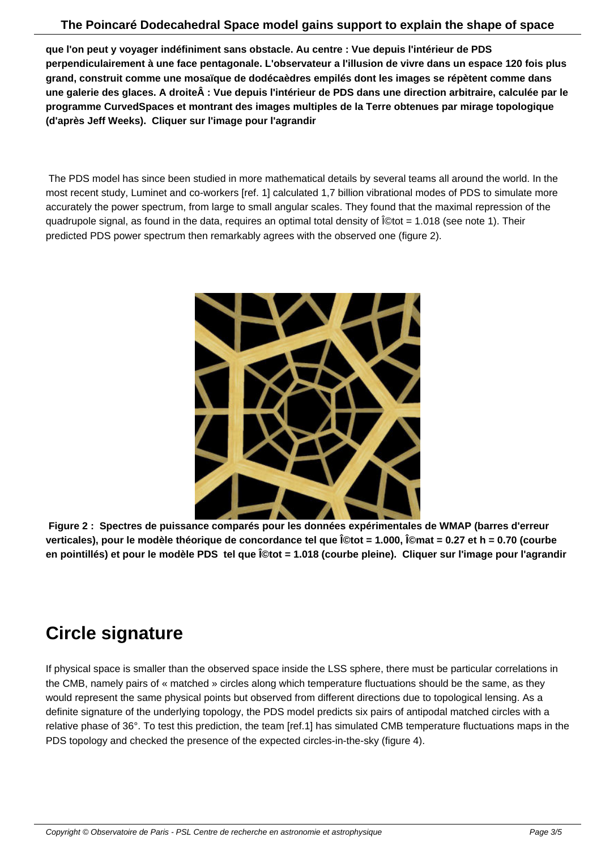**que l'on peut y voyager indéfiniment sans obstacle. Au centre : Vue depuis l'intérieur de PDS perpendiculairement à une face pentagonale. L'observateur a l'illusion de vivre dans un espace 120 fois plus grand, construit comme une mosaïque de dodécaèdres empilés dont les images se répètent comme dans** une galerie des glaces. A droite : Vue depuis l'intérieur de PDS dans une direction arbitraire, calculée par le **programme CurvedSpaces et montrant des images multiples de la Terre obtenues par mirage topologique (d'après Jeff Weeks). Cliquer sur l'image pour l'agrandir**

 The PDS model has since been studied in more mathematical details by several teams all around the world. In the most recent study, Luminet and co-workers [ref. 1] calculated 1,7 billion vibrational modes of PDS to simulate more accurately the power spectrum, from large to small angular scales. They found that the maximal repression of the quadrupole signal, as found in the data, requires an optimal total density of Ωtot = 1.018 (see note 1). Their predicted PDS power spectrum then remarkably agrees with the observed one (figure 2).



 **Figure 2 : Spectres de puissance comparés pour les données expérimentales de WMAP (barres d'erreur** verticales), pour le modèle théorique de concordance tel que Ωtot = 1.000, Ωmat = 0.27 et h = 0.70 (courbe en pointillés) et pour le modèle PDS tel que l©tot = 1.018 (courbe pleine). Cliquer sur l'image pour l'agrandir

## **Circle signature**

If physical space is smaller than the observed space inside the LSS sphere, there must be particular correlations in the CMB, namely pairs of « matched » circles along which temperature fluctuations should be the same, as they would represent the same physical points but observed from different directions due to topological lensing. As a definite signature of the underlying topology, the PDS model predicts six pairs of antipodal matched circles with a relative phase of 36°. To test this prediction, the team [ref.1] has simulated CMB temperature fluctuations maps in the PDS topology and checked the presence of the expected circles-in-the-sky (figure 4).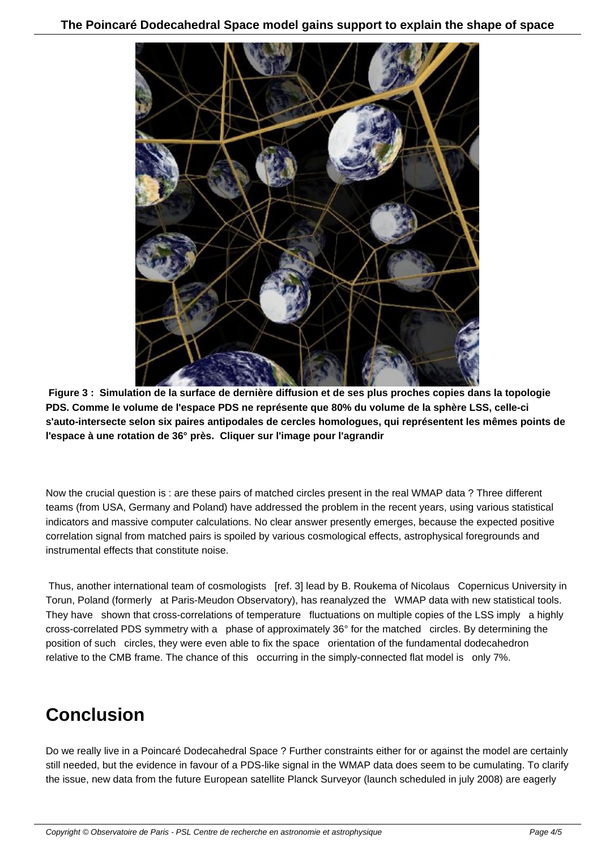

 **Figure 3 : Simulation de la surface de dernière diffusion et de ses plus proches copies dans la topologie PDS. Comme le volume de l'espace PDS ne représente que 80% du volume de la sphère LSS, celle-ci s'auto-intersecte selon six paires antipodales de cercles homologues, qui représentent les mêmes points de l'espace à une rotation de 36° près. Cliquer sur l'image pour l'agrandir**

Now the crucial question is : are these pairs of matched circles present in the real WMAP data ? Three different teams (from USA, Germany and Poland) have addressed the problem in the recent years, using various statistical indicators and massive computer calculations. No clear answer presently emerges, because the expected positive correlation signal from matched pairs is spoiled by various cosmological effects, astrophysical foregrounds and instrumental effects that constitute noise.

 Thus, another international team of cosmologists [ref. 3] lead by B. Roukema of Nicolaus Copernicus University in Torun, Poland (formerly at Paris-Meudon Observatory), has reanalyzed the WMAP data with new statistical tools. They have shown that cross-correlations of temperature fluctuations on multiple copies of the LSS imply a highly cross-correlated PDS symmetry with a phase of approximately 36° for the matched circles. By determining the position of such circles, they were even able to fix the space orientation of the fundamental dodecahedron relative to the CMB frame. The chance of this occurring in the simply-connected flat model is only 7%.

## **Conclusion**

Do we really live in a Poincaré Dodecahedral Space ? Further constraints either for or against the model are certainly still needed, but the evidence in favour of a PDS-like signal in the WMAP data does seem to be cumulating. To clarify the issue, new data from the future European satellite Planck Surveyor (launch scheduled in july 2008) are eagerly